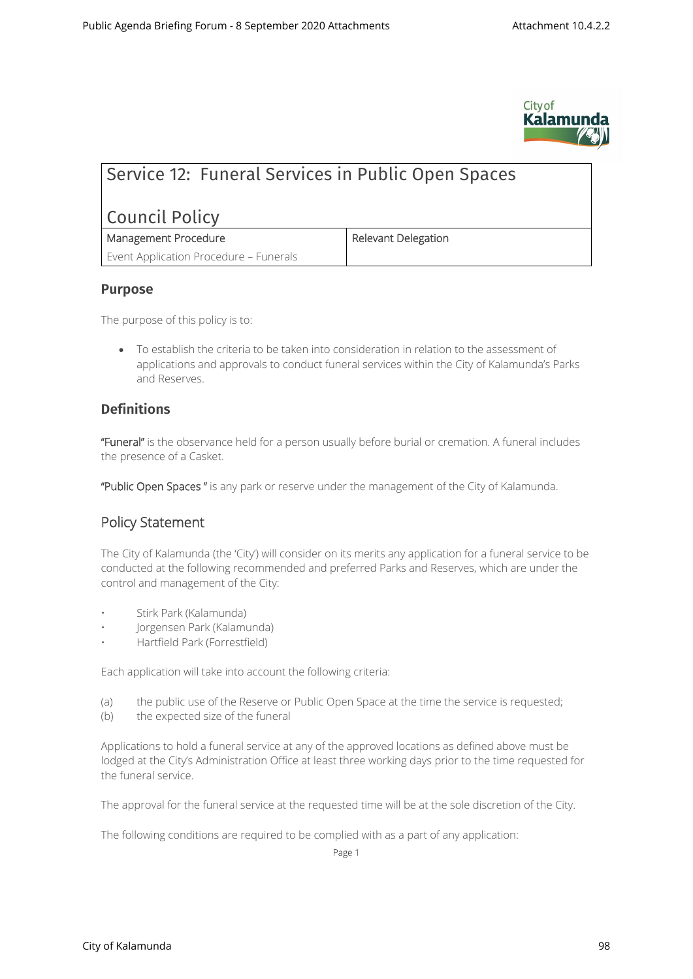

# Service 12: Funeral Services in Public Open Spaces

# Council Policy

| Management Procedure                   |
|----------------------------------------|
| Event Application Procedure - Funerals |

#### **Purpose**

The purpose of this policy is to:

 To establish the criteria to be taken into consideration in relation to the assessment of applications and approvals to conduct funeral services within the City of Kalamunda's Parks and Reserves.

**Management Procedure Relevant Delegation**

### **Definitions**

**"Funeral"** is the observance held for a person usually before burial or cremation. A funeral includes the presence of a Casket.

**"Public Open Spaces "** is any park or reserve under the management of the City of Kalamunda.

## **Policy Statement**

The City of Kalamunda (the 'City') will consider on its merits any application for a funeral service to be conducted at the following recommended and preferred Parks and Reserves, which are under the control and management of the City:

- Stirk Park (Kalamunda)
- Jorgensen Park (Kalamunda)
- Hartfield Park (Forrestfield)

Each application will take into account the following criteria:

- (a) the public use of the Reserve or Public Open Space at the time the service is requested;
- (b) the expected size of the funeral

Applications to hold a funeral service at any of the approved locations as defined above must be lodged at the City's Administration Office at least three working days prior to the time requested for the funeral service.

The approval for the funeral service at the requested time will be at the sole discretion of the City.

The following conditions are required to be complied with as a part of any application:

Page 1